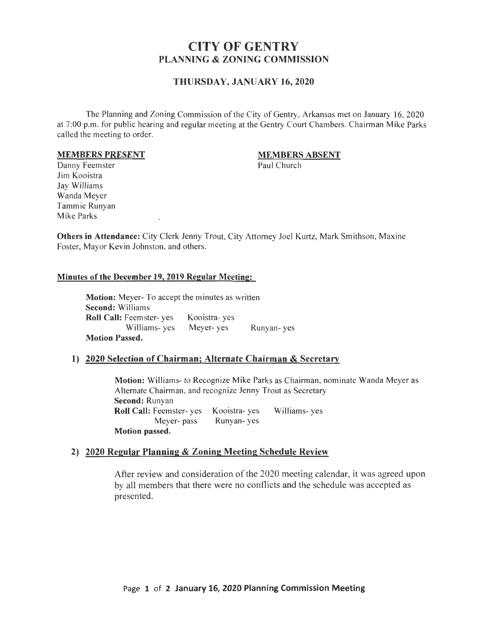# CITY OF GENTRY PLANNING & ZONING COMMISSION

### THURSDAY, JANUARY 16, 2020

The Planning and Zoning Commission of the City of Gentry, Arkansas met on January 16, 2020 at 7:00 p.m. for public hearing and regular meeting at the Gentry Court Chambers. Chairman Mike Parks called the meeting to order.

#### MEMBERS PRESENT

#### MEMBERS ABSENT

Paul Church

Danny Feemster Jim Kooistra Jay Williams Wanda Meyer Tammie Runyan Mike Parks

Others in Attendance: City Clerk Jenny Trout, City Attorney Joel Kurtz, Mark Smithson, Maxine Foster, Mayor Kevin Johnston, and others.

#### Minutes of the December 19,2019 Regular Meeting:

Motion: Meyer- To accept the minutes as written Second: Williams Roll Call: Feemster- yes Williams- yes Meyer- yes Runyan- yes Motion Passed. Kooistra- yes

### 1) 2020 Selection of Chairman; Alternate Chairman & Secretary

Motion: Williams- to Recognize Mike Parks as Chairman, nominate Wanda Meyer as Alternate Chairman, and recognize Jenny Trout as Secretary Second: Runyan Roll Call: Feemster- yes Kooistra- yes Williams- yes Meyer- pass Runyan- yes Motion passed.

#### 2) 2020 Regular Planning & Zoning Meeting Schedule Review

After review and consideration of the 2020 meeting calendar, it was agreed upon by all members that there were no conflicts and the schedule was accepted as presented.